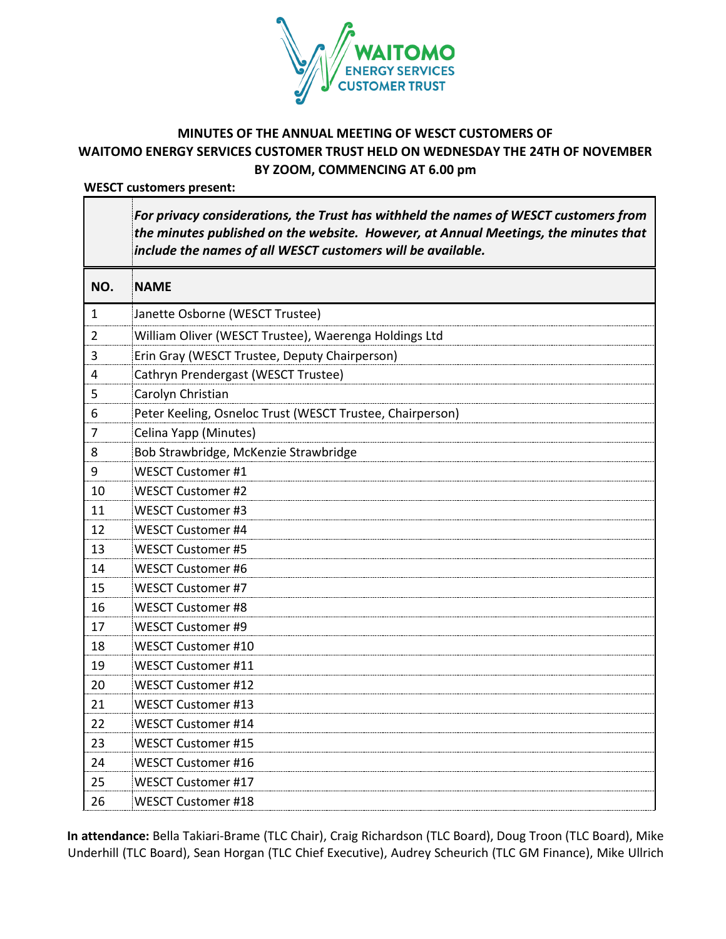

# **MINUTES OF THE ANNUAL MEETING OF WESCT CUSTOMERS OF WAITOMO ENERGY SERVICES CUSTOMER TRUST HELD ON WEDNESDAY THE 24TH OF NOVEMBER BY ZOOM, COMMENCING AT 6.00 pm**

**WESCT customers present:**

*For privacy considerations, the Trust has withheld the names of WESCT customers from the minutes published on the website. However, at Annual Meetings, the minutes that include the names of all WESCT customers will be available.*

| NO.            | <b>NAME</b>                                               |
|----------------|-----------------------------------------------------------|
| 1              | Janette Osborne (WESCT Trustee)                           |
| 2              | William Oliver (WESCT Trustee), Waerenga Holdings Ltd     |
| 3              | Erin Gray (WESCT Trustee, Deputy Chairperson)             |
| $\overline{4}$ | Cathryn Prendergast (WESCT Trustee)                       |
| 5              | Carolyn Christian                                         |
| 6              | Peter Keeling, Osneloc Trust (WESCT Trustee, Chairperson) |
| $\overline{7}$ | Celina Yapp (Minutes)                                     |
| 8              | Bob Strawbridge, McKenzie Strawbridge                     |
| 9              | <b>WESCT Customer #1</b>                                  |
| 10             | <b>WESCT Customer #2</b>                                  |
| 11             | <b>WESCT Customer #3</b>                                  |
| 12             | <b>WESCT Customer #4</b>                                  |
| 13             | <b>WESCT Customer #5</b>                                  |
| 14             | <b>WESCT Customer #6</b>                                  |
| 15             | <b>WESCT Customer #7</b>                                  |
| 16             | <b>WESCT Customer #8</b>                                  |
| 17             | <b>WESCT Customer #9</b>                                  |
| 18             | <b>WESCT Customer #10</b>                                 |
| 19             | <b>WESCT Customer #11</b>                                 |
| 20             | <b>WESCT Customer #12</b>                                 |
| 21             | <b>WESCT Customer #13</b>                                 |
| 22             | <b>WESCT Customer #14</b>                                 |
| 23             | <b>WESCT Customer #15</b>                                 |
| 24             | WESCT Customer #16                                        |
| 25             | <b>WESCT Customer #17</b>                                 |
| 26             | <b>WESCT Customer #18</b>                                 |

**In attendance:** Bella Takiari-Brame (TLC Chair), Craig Richardson (TLC Board), Doug Troon (TLC Board), Mike Underhill (TLC Board), Sean Horgan (TLC Chief Executive), Audrey Scheurich (TLC GM Finance), Mike Ullrich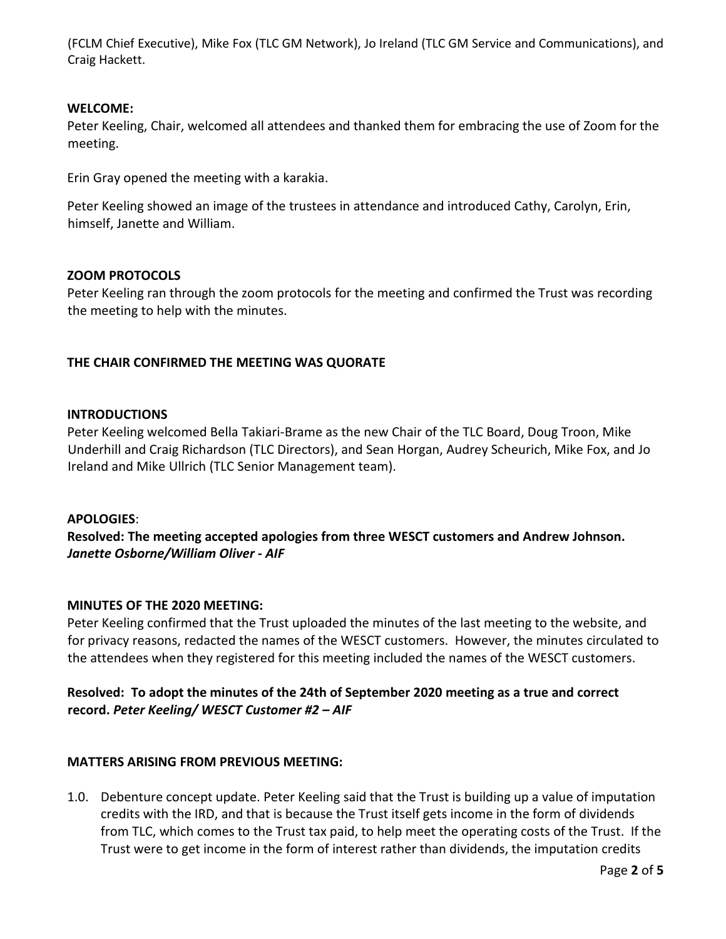(FCLM Chief Executive), Mike Fox (TLC GM Network), Jo Ireland (TLC GM Service and Communications), and Craig Hackett.

### **WELCOME:**

Peter Keeling, Chair, welcomed all attendees and thanked them for embracing the use of Zoom for the meeting.

Erin Gray opened the meeting with a karakia.

Peter Keeling showed an image of the trustees in attendance and introduced Cathy, Carolyn, Erin, himself, Janette and William.

#### **ZOOM PROTOCOLS**

Peter Keeling ran through the zoom protocols for the meeting and confirmed the Trust was recording the meeting to help with the minutes.

### **THE CHAIR CONFIRMED THE MEETING WAS QUORATE**

#### **INTRODUCTIONS**

Peter Keeling welcomed Bella Takiari-Brame as the new Chair of the TLC Board, Doug Troon, Mike Underhill and Craig Richardson (TLC Directors), and Sean Horgan, Audrey Scheurich, Mike Fox, and Jo Ireland and Mike Ullrich (TLC Senior Management team).

#### **APOLOGIES**:

**Resolved: The meeting accepted apologies from three WESCT customers and Andrew Johnson.**  *Janette Osborne/William Oliver - AIF*

## **MINUTES OF THE 2020 MEETING:**

Peter Keeling confirmed that the Trust uploaded the minutes of the last meeting to the website, and for privacy reasons, redacted the names of the WESCT customers. However, the minutes circulated to the attendees when they registered for this meeting included the names of the WESCT customers.

## **Resolved: To adopt the minutes of the 24th of September 2020 meeting as a true and correct record.** *Peter Keeling/ WESCT Customer #2 – AIF*

## **MATTERS ARISING FROM PREVIOUS MEETING:**

1.0. Debenture concept update. Peter Keeling said that the Trust is building up a value of imputation credits with the IRD, and that is because the Trust itself gets income in the form of dividends from TLC, which comes to the Trust tax paid, to help meet the operating costs of the Trust. If the Trust were to get income in the form of interest rather than dividends, the imputation credits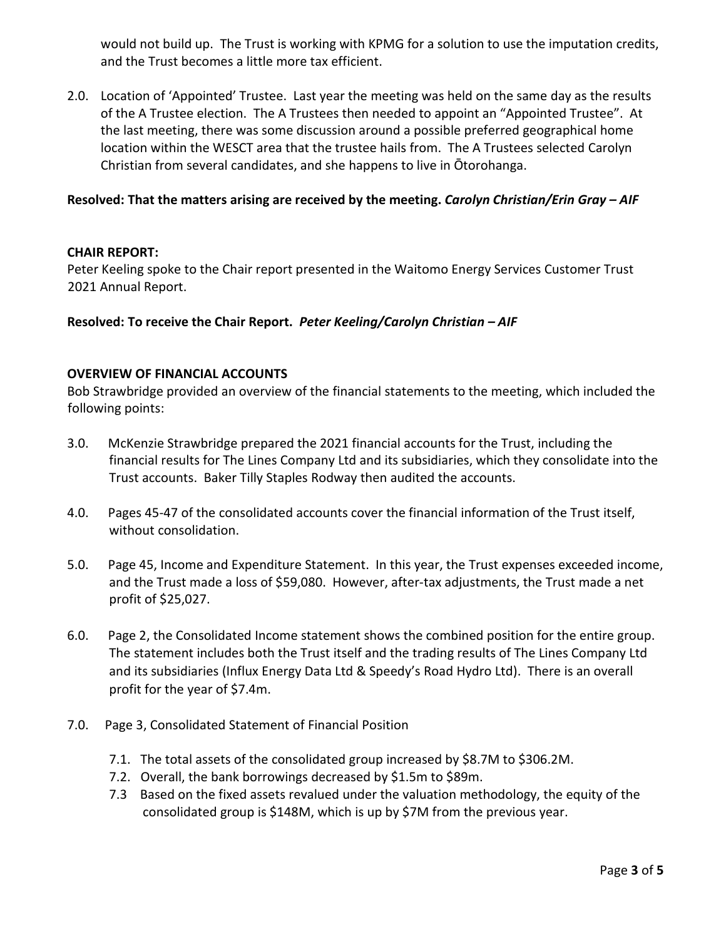would not build up. The Trust is working with KPMG for a solution to use the imputation credits, and the Trust becomes a little more tax efficient.

2.0. Location of 'Appointed' Trustee. Last year the meeting was held on the same day as the results of the A Trustee election. The A Trustees then needed to appoint an "Appointed Trustee". At the last meeting, there was some discussion around a possible preferred geographical home location within the WESCT area that the trustee hails from. The A Trustees selected Carolyn Christian from several candidates, and she happens to live in Ōtorohanga.

## **Resolved: That the matters arising are received by the meeting.** *Carolyn Christian/Erin Gray – AIF*

### **CHAIR REPORT:**

Peter Keeling spoke to the Chair report presented in the Waitomo Energy Services Customer Trust 2021 Annual Report.

### **Resolved: To receive the Chair Report.** *Peter Keeling/Carolyn Christian – AIF*

#### **OVERVIEW OF FINANCIAL ACCOUNTS**

Bob Strawbridge provided an overview of the financial statements to the meeting, which included the following points:

- 3.0. McKenzie Strawbridge prepared the 2021 financial accounts for the Trust, including the financial results for The Lines Company Ltd and its subsidiaries, which they consolidate into the Trust accounts. Baker Tilly Staples Rodway then audited the accounts.
- 4.0. Pages 45-47 of the consolidated accounts cover the financial information of the Trust itself, without consolidation.
- 5.0. Page 45, Income and Expenditure Statement. In this year, the Trust expenses exceeded income, and the Trust made a loss of \$59,080. However, after-tax adjustments, the Trust made a net profit of \$25,027.
- 6.0. Page 2, the Consolidated Income statement shows the combined position for the entire group. The statement includes both the Trust itself and the trading results of The Lines Company Ltd and its subsidiaries (Influx Energy Data Ltd & Speedy's Road Hydro Ltd). There is an overall profit for the year of \$7.4m.
- 7.0. Page 3, Consolidated Statement of Financial Position
	- 7.1. The total assets of the consolidated group increased by \$8.7M to \$306.2M.
	- 7.2. Overall, the bank borrowings decreased by \$1.5m to \$89m.
	- 7.3 Based on the fixed assets revalued under the valuation methodology, the equity of the consolidated group is \$148M, which is up by \$7M from the previous year.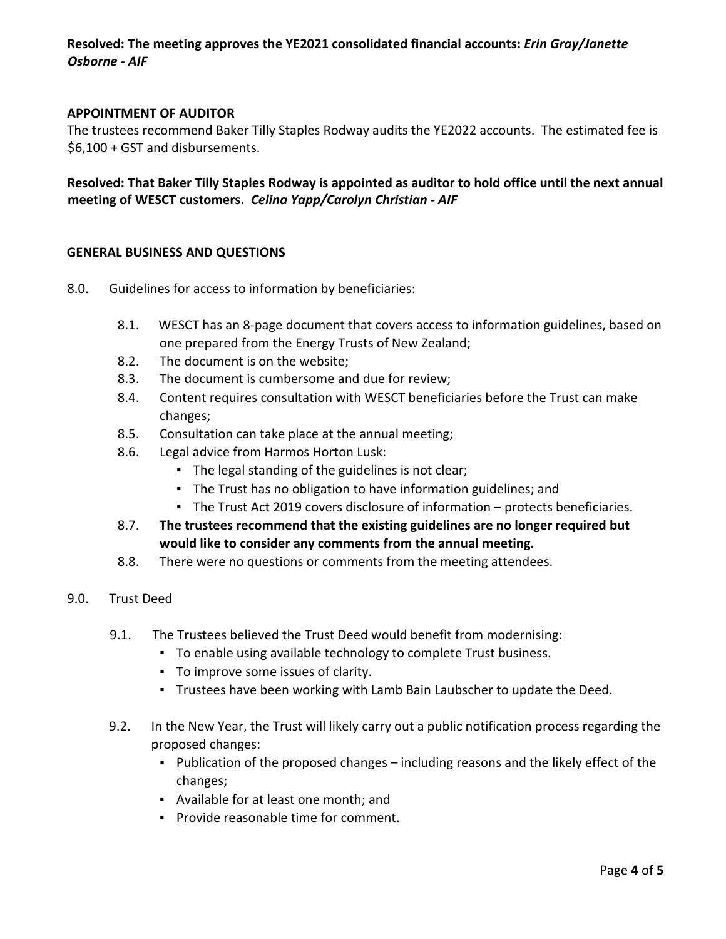## **Resolved: The meeting approves the YE2021 consolidated financial accounts:** *Erin Gray/Janette Osborne - AIF*

### **APPOINTMENT OF AUDITOR**

The trustees recommend Baker Tilly Staples Rodway audits the YE2022 accounts. The estimated fee is \$6,100 + GST and disbursements.

## **Resolved: That Baker Tilly Staples Rodway is appointed as auditor to hold office until the next annual meeting of WESCT customers.** *Celina Yapp/Carolyn Christian - AIF*

#### **GENERAL BUSINESS AND QUESTIONS**

- 8.0. Guidelines for access to information by beneficiaries:
	- 8.1. WESCT has an 8-page document that covers access to information guidelines, based on one prepared from the Energy Trusts of New Zealand;
	- 8.2. The document is on the website;
	- 8.3. The document is cumbersome and due for review;
	- 8.4. Content requires consultation with WESCT beneficiaries before the Trust can make changes;
	- 8.5. Consultation can take place at the annual meeting;
	- 8.6. Legal advice from Harmos Horton Lusk:
		- The legal standing of the guidelines is not clear;
		- **·** The Trust has no obligation to have information guidelines; and
		- The Trust Act 2019 covers disclosure of information protects beneficiaries.
	- 8.7. **The trustees recommend that the existing guidelines are no longer required but would like to consider any comments from the annual meeting.**
	- 8.8. There were no questions or comments from the meeting attendees.
- 9.0. Trust Deed
	- 9.1. The Trustees believed the Trust Deed would benefit from modernising:
		- To enable using available technology to complete Trust business.
		- To improve some issues of clarity.
		- Trustees have been working with Lamb Bain Laubscher to update the Deed.
	- 9.2. In the New Year, the Trust will likely carry out a public notification process regarding the proposed changes:
		- Publication of the proposed changes including reasons and the likely effect of the changes;
		- Available for at least one month; and
		- Provide reasonable time for comment.